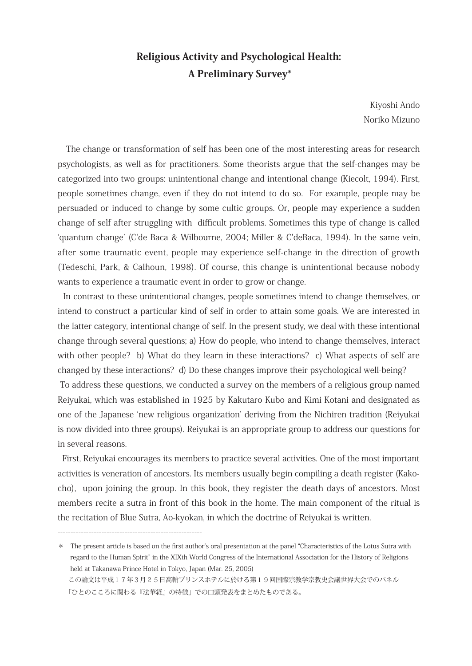# Religious Activity and Psychological Health: A Preliminary Survey\*

Kiyoshi Ando Noriko Mizuno

 The change or transformation of self has been one of the most interesting areas for research psychologists, as well as for practitioners. Some theorists argue that the self-changes may be categorized into two groups: unintentional change and intentional change (Kiecolt, 1994). First, people sometimes change, even if they do not intend to do so. For example, people may be persuaded or induced to change by some cultic groups. Or, people may experience a sudden change of self after struggling with difficult problems. Sometimes this type of change is called 'quantum change' (C'de Baca & Wilbourne, 2004; Miller & C'deBaca, 1994). In the same vein, after some traumatic event, people may experience self-change in the direction of growth (Tedeschi, Park, & Calhoun, 1998). Of course, this change is unintentional because nobody wants to experience a traumatic event in order to grow or change.

 In contrast to these unintentional changes, people sometimes intend to change themselves, or intend to construct a particular kind of self in order to attain some goals. We are interested in the latter category, intentional change of self. In the present study, we deal with these intentional change through several questions; a) How do people, who intend to change themselves, interact with other people? b) What do they learn in these interactions? c) What aspects of self are changed by these interactions? d) Do these changes improve their psychological well-being? To address these questions, we conducted a survey on the members of a religious group named Reiyukai, which was established in 1925 by Kakutaro Kubo and Kimi Kotani and designated as one of the Japanese 'new religious organization' deriving from the Nichiren tradition (Reiyukai is now divided into three groups). Reiyukai is an appropriate group to address our questions for in several reasons.

 First, Reiyukai encourages its members to practice several activities. One of the most important activities is veneration of ancestors. Its members usually begin compiling a death register (Kakocho), upon joining the group. In this book, they register the death days of ancestors. Most members recite a sutra in front of this book in the home. The main component of the ritual is the recitation of Blue Sutra, Ao-kyokan, in which the doctrine of Reiyukai is written.

--------------------------------------------------------

<sup>\*</sup> The present article is based on the first author's oral presentation at the panel "Characteristics of the Lotus Sutra with regard to the Human Spirit" in the XIXth World Congress of the International Association for the History of Religions held at Takanawa Prince Hotel in Tokyo, Japan (Mar. 25, 2005)

この論文は平成17年3月25日高輪プリンスホテルに於ける第19回国際宗教学宗教史会議世界大会でのパネル 「ひとのこころに関わる『法華経』の特徴」での口頭発表をまとめたものである。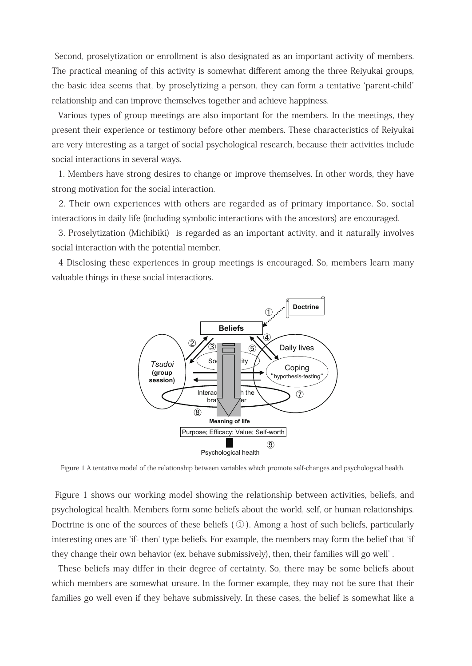Second, proselytization or enrollment is also designated as an important activity of members. The practical meaning of this activity is somewhat different among the three Reiyukai groups, the basic idea seems that, by proselytizing a person, they can form a tentative 'parent-child' relationship and can improve themselves together and achieve happiness.

 Various types of group meetings are also important for the members. In the meetings, they present their experience or testimony before other members. These characteristics of Reiyukai are very interesting as a target of social psychological research, because their activities include social interactions in several ways.

 1. Members have strong desires to change or improve themselves. In other words, they have strong motivation for the social interaction.

 2. Their own experiences with others are regarded as of primary importance. So, social interactions in daily life (including symbolic interactions with the ancestors) are encouraged.

 3. Proselytization (Michibiki) is regarded as an important activity, and it naturally involves social interaction with the potential member.

 4 Disclosing these experiences in group meetings is encouraged. So, members learn many valuable things in these social interactions.



Figure 1 A tentative model of the relationship between variables which promote self-changes and psychological health.

 Figure 1 shows our working model showing the relationship between activities, beliefs, and psychological health. Members form some beliefs about the world, self, or human relationships. Doctrine is one of the sources of these beliefs  $(1)$ . Among a host of such beliefs, particularly interesting ones are 'if- then' type beliefs. For example, the members may form the belief that 'if they change their own behavior (ex. behave submissively), then, their families will go well' .

 These beliefs may differ in their degree of certainty. So, there may be some beliefs about which members are somewhat unsure. In the former example, they may not be sure that their families go well even if they behave submissively. In these cases, the belief is somewhat like a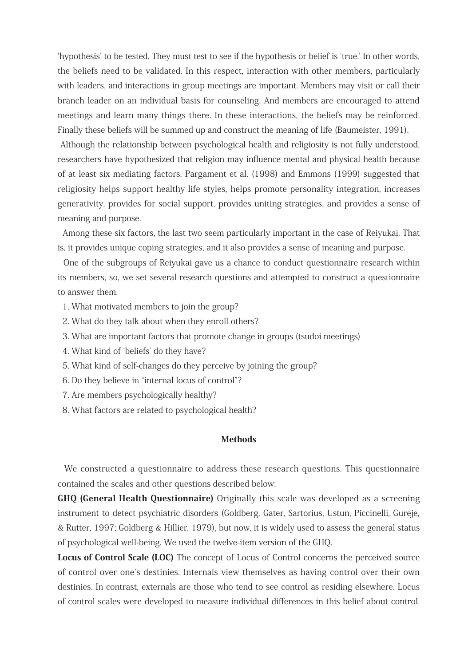'hypothesis' to be tested. They must test to see if the hypothesis or belief is 'true.' In other words, the beliefs need to be validated. In this respect, interaction with other members, particularly with leaders, and interactions in group meetings are important. Members may visit or call their branch leader on an individual basis for counseling. And members are encouraged to attend meetings and learn many things there. In these interactions, the beliefs may be reinforced. Finally these beliefs will be summed up and construct the meaning of life (Baumeister, 1991).

 Although the relationship between psychological health and religiosity is not fully understood, researchers have hypothesized that religion may influence mental and physical health because of at least six mediating factors. Pargament et al. (1998) and Emmons (1999) suggested that religiosity helps support healthy life styles, helps promote personality integration, increases generativity, provides for social support, provides uniting strategies, and provides a sense of meaning and purpose.

 Among these six factors, the last two seem particularly important in the case of Reiyukai. That is, it provides unique coping strategies, and it also provides a sense of meaning and purpose.

 One of the subgroups of Reiyukai gave us a chance to conduct questionnaire research within its members, so, we set several research questions and attempted to construct a questionnaire to answer them.

- 1. What motivated members to join the group?
- 2. What do they talk about when they enroll others?
- 3. What are important factors that promote change in groups (tsudoi meetings)
- 4. What kind of 'beliefs' do they have?
- 5. What kind of self-changes do they perceive by joining the group?
- 6. Do they believe in "internal locus of control"?
- 7. Are members psychologically healthy?
- 8. What factors are related to psychological health?

## **Methods**

 We constructed a questionnaire to address these research questions. This questionnaire contained the scales and other questions described below:

GHQ (General Health Questionnaire) Originally this scale was developed as a screening instrument to detect psychiatric disorders (Goldberg, Gater, Sartorius, Ustun, Piccinelli, Gureje, & Rutter, 1997; Goldberg & Hillier, 1979), but now, it is widely used to assess the general status of psychological well-being. We used the twelve-item version of the GHQ.

Locus of Control Scale (LOC) The concept of Locus of Control concerns the perceived source of control over one's destinies. Internals view themselves as having control over their own destinies. In contrast, externals are those who tend to see control as residing elsewhere. Locus of control scales were developed to measure individual differences in this belief about control.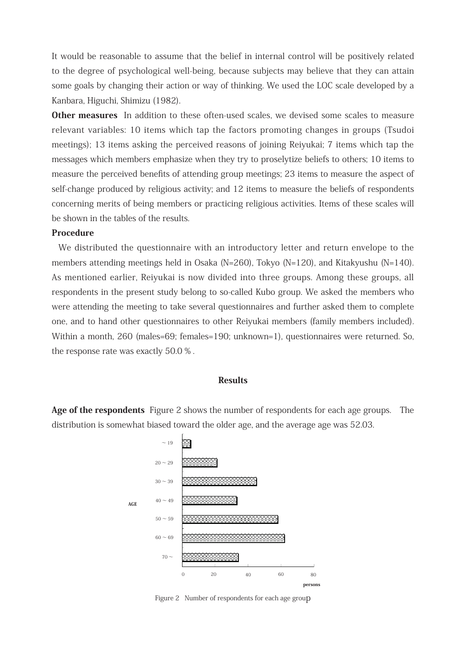It would be reasonable to assume that the belief in internal control will be positively related to the degree of psychological well-being, because subjects may believe that they can attain some goals by changing their action or way of thinking. We used the LOC scale developed by a Kanbara, Higuchi, Shimizu (1982).

Other measures In addition to these often-used scales, we devised some scales to measure relevant variables: 10 items which tap the factors promoting changes in groups (Tsudoi meetings); 13 items asking the perceived reasons of joining Reiyukai; 7 items which tap the messages which members emphasize when they try to proselytize beliefs to others; 10 items to measure the perceived benefits of attending group meetings; 23 items to measure the aspect of self-change produced by religious activity; and 12 items to measure the beliefs of respondents concerning merits of being members or practicing religious activities. Items of these scales will be shown in the tables of the results.

### Procedure

 We distributed the questionnaire with an introductory letter and return envelope to the members attending meetings held in Osaka (N=260), Tokyo (N=120), and Kitakyushu (N=140). As mentioned earlier, Reiyukai is now divided into three groups. Among these groups, all respondents in the present study belong to so-called Kubo group. We asked the members who were attending the meeting to take several questionnaires and further asked them to complete one, and to hand other questionnaires to other Reiyukai members (family members included). Within a month, 260 (males=69; females=190; unknown=1), questionnaires were returned. So, the response rate was exactly 50.0 % .

### **Results**

Age of the respondents Figure 2 shows the number of respondents for each age groups. The distribution is somewhat biased toward the older age, and the average age was 52.03.



Figure 2 Number of respondents for each age group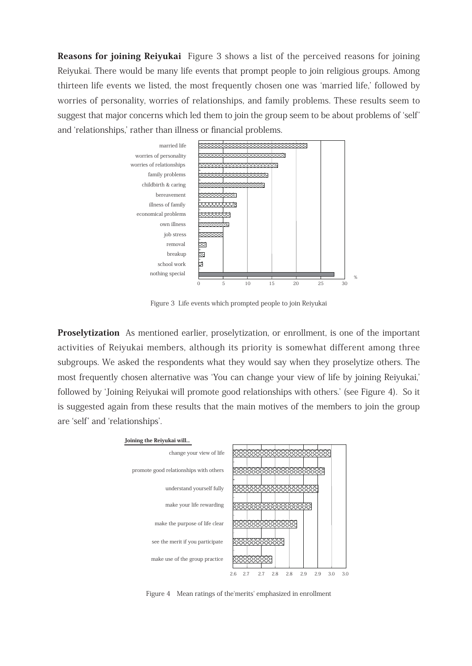Reasons for joining Reiyukai Figure 3 shows a list of the perceived reasons for joining Reiyukai. There would be many life events that prompt people to join religious groups. Among thirteen life events we listed, the most frequently chosen one was 'married life,' followed by worries of personality, worries of relationships, and family problems. These results seem to suggest that major concerns which led them to join the group seem to be about problems of 'self' and 'relationships,' rather than illness or financial problems.



Figure 3 Life events which prompted people to join Reiyukai

Proselytization As mentioned earlier, proselytization, or enrollment, is one of the important activities of Reiyukai members, although its priority is somewhat different among three subgroups. We asked the respondents what they would say when they proselytize others. The most frequently chosen alternative was 'You can change your view of life by joining Reiyukai,' followed by 'Joining Reiyukai will promote good relationships with others.' (see Figure 4). So it is suggested again from these results that the main motives of the members to join the group are 'self' and 'relationships'.



Figure 4 Mean ratings of the'merits' emphasized in enrollment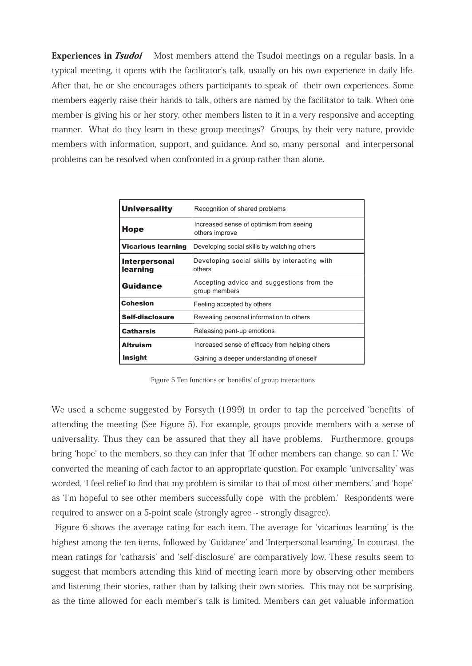**Experiences in** *Tsudoi* Most members attend the Tsudoi meetings on a regular basis. In a typical meeting, it opens with the facilitator's talk, usually on his own experience in daily life. After that, he or she encourages others participants to speak of their own experiences. Some members eagerly raise their hands to talk, others are named by the facilitator to talk. When one member is giving his or her story, other members listen to it in a very responsive and accepting manner. What do they learn in these group meetings? Groups, by their very nature, provide members with information, support, and guidance. And so, many personal and interpersonal problems can be resolved when confronted in a group rather than alone.

| <b>Universality</b>              | Recognition of shared problems                             |  |
|----------------------------------|------------------------------------------------------------|--|
| <b>Hope</b>                      | Increased sense of optimism from seeing<br>others improve  |  |
| <b>Vicarious learning</b>        | Developing social skills by watching others                |  |
| <b>Interpersonal</b><br>learning | Developing social skills by interacting with<br>others     |  |
| <b>Guidance</b>                  | Accepting advicc and suggestions from the<br>group members |  |
| Cohesion                         | Feeling accepted by others                                 |  |
| Self-disclosure                  | Revealing personal information to others                   |  |
| <b>Catharsis</b>                 | Releasing pent-up emotions                                 |  |
| <b>Altruism</b>                  | Increased sense of efficacy from helping others            |  |
| Insight                          | Gaining a deeper understanding of oneself                  |  |

Figure 5 Ten functions or 'benefits' of group interactions

We used a scheme suggested by Forsyth (1999) in order to tap the perceived 'benefits' of attending the meeting (See Figure 5). For example, groups provide members with a sense of universality. Thus they can be assured that they all have problems. Furthermore, groups bring 'hope' to the members, so they can infer that 'If other members can change, so can I.' We converted the meaning of each factor to an appropriate question. For example 'universality' was worded, 'I feel relief to find that my problem is similar to that of most other members.' and 'hope' as 'I'm hopeful to see other members successfully cope with the problem.' Respondents were required to answer on a 5-point scale (strongly agree ~ strongly disagree).

 Figure 6 shows the average rating for each item. The average for 'vicarious learning' is the highest among the ten items, followed by 'Guidance' and 'Interpersonal learning.' In contrast, the mean ratings for 'catharsis' and 'self-disclosure' are comparatively low. These results seem to suggest that members attending this kind of meeting learn more by observing other members and listening their stories, rather than by talking their own stories. This may not be surprising, as the time allowed for each member's talk is limited. Members can get valuable information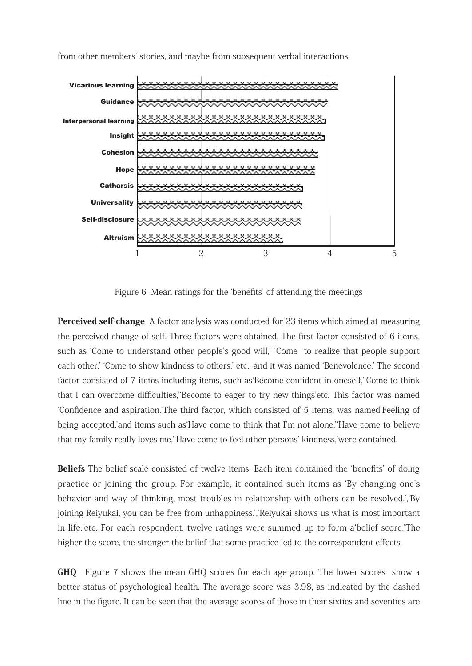

from other members' stories, and maybe from subsequent verbal interactions.

Figure 6 Mean ratings for the 'benefits' of attending the meetings

**Perceived self-change** A factor analysis was conducted for 23 items which aimed at measuring the perceived change of self. Three factors were obtained. The first factor consisted of 6 items, such as 'Come to understand other people's good will,' 'Come to realize that people support each other,' 'Come to show kindness to others,' etc., and it was named 'Benevolence.' The second factor consisted of 7 items including items, such as'Become confident in oneself,''Come to think that I can overcome difficulties,''Become to eager to try new things'etc. This factor was named 'Confidence and aspiration.'The third factor, which consisted of 5 items, was named'Feeling of being accepted,'and items such as'Have come to think that I'm not alone,''Have come to believe that my family really loves me,''Have come to feel other persons' kindness,'were contained.

Beliefs The belief scale consisted of twelve items. Each item contained the 'benefits' of doing practice or joining the group. For example, it contained such items as 'By changing one's behavior and way of thinking, most troubles in relationship with others can be resolved.','By joining Reiyukai, you can be free from unhappiness.','Reiyukai shows us what is most important in life,'etc. For each respondent, twelve ratings were summed up to form a'belief score.'The higher the score, the stronger the belief that some practice led to the correspondent effects.

GHQ Figure 7 shows the mean GHQ scores for each age group. The lower scores show a better status of psychological health. The average score was 3.98, as indicated by the dashed line in the figure. It can be seen that the average scores of those in their sixties and seventies are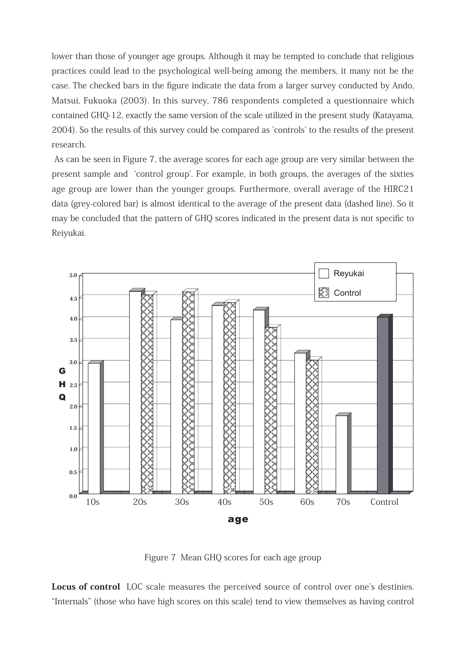lower than those of younger age groups. Although it may be tempted to conclude that religious practices could lead to the psychological well-being among the members, it many not be the case. The checked bars in the figure indicate the data from a larger survey conducted by Ando, Matsui, Fukuoka (2003). In this survey, 786 respondents completed a questionnaire which contained GHQ-12, exactly the same version of the scale utilized in the present study (Katayama, 2004). So the results of this survey could be compared as 'controls' to the results of the present research.

 As can be seen in Figure 7, the average scores for each age group are very similar between the present sample and 'control group'. For example, in both groups, the averages of the sixties age group are lower than the younger groups. Furthermore, overall average of the HIRC21 data (grey-colored bar) is almost identical to the average of the present data (dashed line). So it may be concluded that the pattern of GHQ scores indicated in the present data is not specific to Reiyukai.



Figure 7 Mean GHQ scores for each age group

Locus of control LOC scale measures the perceived source of control over one's destinies. "Internals" (those who have high scores on this scale) tend to view themselves as having control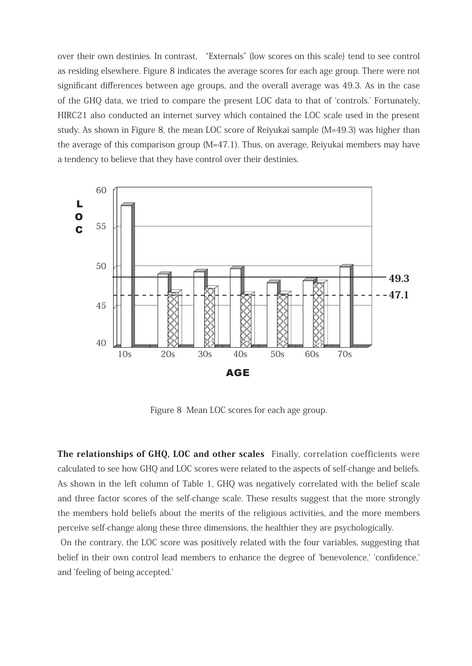over their own destinies. In contrast, "Externals" (low scores on this scale) tend to see control as residing elsewhere. Figure 8 indicates the average scores for each age group. There were not significant differences between age groups, and the overall average was 49.3. As in the case of the GHQ data, we tried to compare the present LOC data to that of 'controls.' Fortunately, HIRC21 also conducted an internet survey which contained the LOC scale used in the present study. As shown in Figure 8, the mean LOC score of Reiyukai sample (M=49.3) was higher than the average of this comparison group (M=47.1). Thus, on average, Reiyukai members may have a tendency to believe that they have control over their destinies.



Figure 8 Mean LOC scores for each age group.

The relationships of GHQ, LOC and other scales Finally, correlation coefficients were calculated to see how GHQ and LOC scores were related to the aspects of self-change and beliefs. As shown in the left column of Table 1, GHQ was negatively correlated with the belief scale and three factor scores of the self-change scale. These results suggest that the more strongly the members hold beliefs about the merits of the religious activities, and the more members perceive self-change along these three dimensions, the healthier they are psychologically.

 On the contrary, the LOC score was positively related with the four variables, suggesting that belief in their own control lead members to enhance the degree of 'benevolence,' 'confidence,' and 'feeling of being accepted.'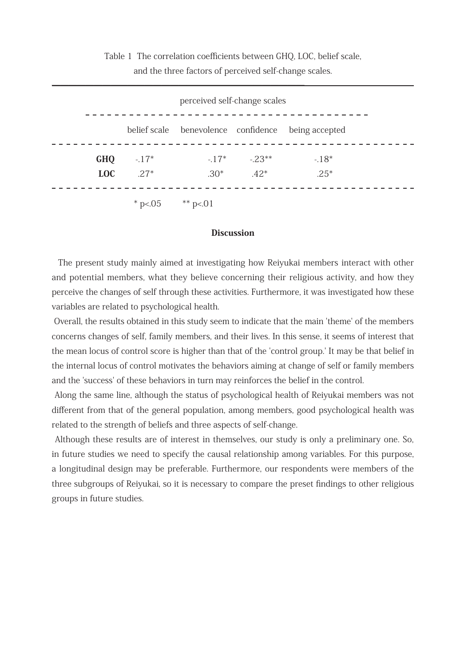Table 1 The correlation coefficients between GHQ, LOC, belief scale, and the three factors of perceived self-change scales.

| belief scale benevolence confidence being accepted<br>$-17^*$ $-23^{**}$<br><b>GHQ</b><br>$-17*$<br>$-18*$<br>$.30^*$ $.42^*$<br><b>LOC</b><br>$27*$<br>$.25*$ | perceived self-change scales |  |  |  |  |  |
|----------------------------------------------------------------------------------------------------------------------------------------------------------------|------------------------------|--|--|--|--|--|
|                                                                                                                                                                |                              |  |  |  |  |  |
|                                                                                                                                                                |                              |  |  |  |  |  |
|                                                                                                                                                                |                              |  |  |  |  |  |

### **Discussion**

 The present study mainly aimed at investigating how Reiyukai members interact with other and potential members, what they believe concerning their religious activity, and how they perceive the changes of self through these activities. Furthermore, it was investigated how these variables are related to psychological health.

 Overall, the results obtained in this study seem to indicate that the main 'theme' of the members concerns changes of self, family members, and their lives. In this sense, it seems of interest that the mean locus of control score is higher than that of the 'control group.' It may be that belief in the internal locus of control motivates the behaviors aiming at change of self or family members and the 'success' of these behaviors in turn may reinforces the belief in the control.

 Along the same line, although the status of psychological health of Reiyukai members was not different from that of the general population, among members, good psychological health was related to the strength of beliefs and three aspects of self-change.

 Although these results are of interest in themselves, our study is only a preliminary one. So, in future studies we need to specify the causal relationship among variables. For this purpose, a longitudinal design may be preferable. Furthermore, our respondents were members of the three subgroups of Reiyukai, so it is necessary to compare the preset findings to other religious groups in future studies.